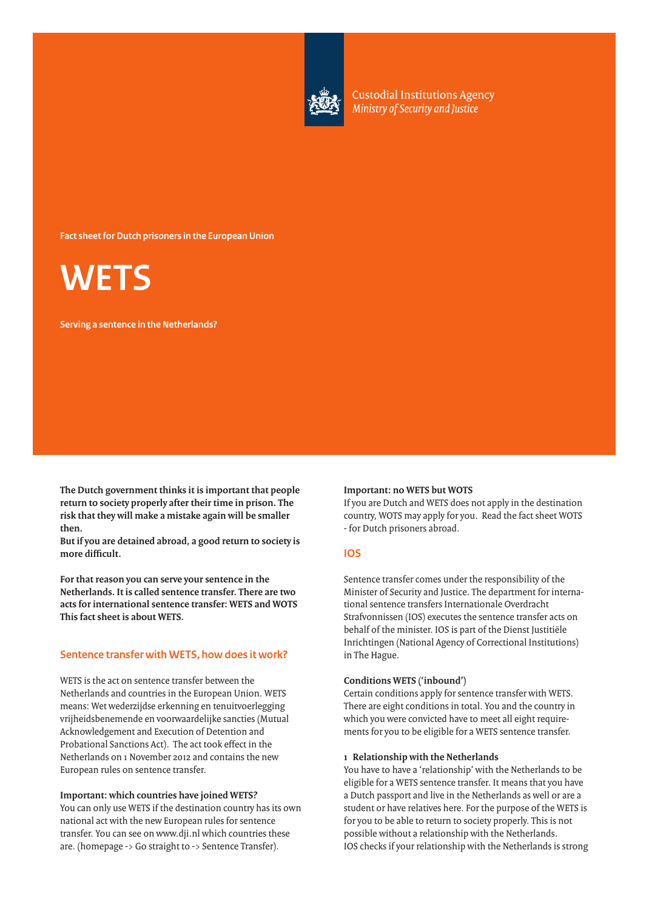

**Custodial Institutions Agency** Ministry of Security and Justice

**Fact sheet for Dutch prisoners in the European Union**



**Serving a sentence in the Netherlands?**

**The Dutch government thinks it is important that people return to society properly after their time in prison. The risk that they will make a mistake again will be smaller then.**

**But if you are detained abroad, a good return to society is more difficult.**

**For that reason you can serve your sentence in the Netherlands. It is called sentence transfer. There are two acts for international sentence transfer: WETS and WOTS This fact sheet is about WETS.**

# **Sentence transfer with WETS, how does it work?**

WETS is the act on sentence transfer between the Netherlands and countries in the European Union. WETS means: Wet wederzijdse erkenning en tenuitvoerlegging vrijheidsbenemende en voorwaardelijke sancties (Mutual Acknowledgement and Execution of Detention and Probational Sanctions Act). The act took effect in the Netherlands on 1 November 2012 and contains the new European rules on sentence transfer.

#### **Important: which countries have joined WETS?**

You can only use WETS if the destination country has its own national act with the new European rules for sentence transfer. You can see on www.dji.nl which countries these are. (homepage -> Go straight to -> Sentence Transfer).

#### **Important: no WETS but WOTS**

If you are Dutch and WETS does not apply in the destination country, WOTS may apply for you. Read the fact sheet WOTS - for Dutch prisoners abroad.

### **IOS**

Sentence transfer comes under the responsibility of the Minister of Security and Justice. The department for international sentence transfers Internationale Overdracht Strafvonnissen (IOS) executes the sentence transfer acts on behalf of the minister. IOS is part of the Dienst Justitiële Inrichtingen (National Agency of Correctional Institutions) in The Hague.

#### **Conditions WETS ('inbound')**

Certain conditions apply for sentence transfer with WETS. There are eight conditions in total. You and the country in which you were convicted have to meet all eight requirements for you to be eligible for a WETS sentence transfer.

#### **1 Relationship with the Netherlands**

You have to have a 'relationship' with the Netherlands to be eligible for a WETS sentence transfer. It means that you have a Dutch passport and live in the Netherlands as well or are a student or have relatives here. For the purpose of the WETS is for you to be able to return to society properly. This is not possible without a relationship with the Netherlands. IOS checks if your relationship with the Netherlands is strong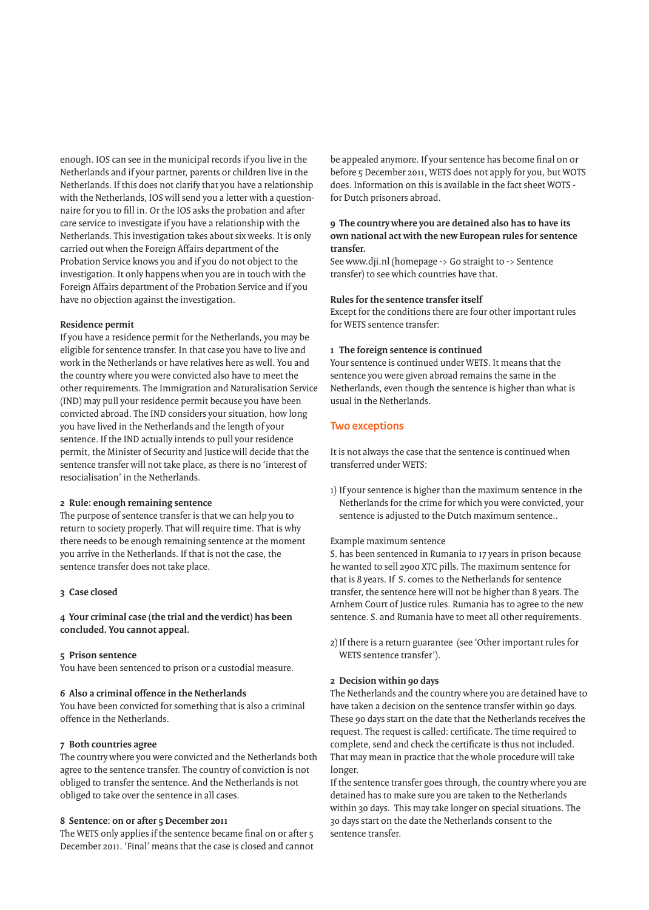enough. IOS can see in the municipal records if you live in the Netherlands and if your partner, parents or children live in the Netherlands. If this does not clarify that you have a relationship with the Netherlands, IOS will send you a letter with a questionnaire for you to fill in. Or the IOS asks the probation and after care service to investigate if you have a relationship with the Netherlands. This investigation takes about six weeks. It is only carried out when the Foreign Affairs department of the Probation Service knows you and if you do not object to the investigation. It only happens when you are in touch with the Foreign Affairs department of the Probation Service and if you have no objection against the investigation.

#### **Residence permit**

If you have a residence permit for the Netherlands, you may be eligible for sentence transfer. In that case you have to live and work in the Netherlands or have relatives here as well. You and the country where you were convicted also have to meet the other requirements. The Immigration and Naturalisation Service (IND) may pull your residence permit because you have been convicted abroad. The IND considers your situation, how long you have lived in the Netherlands and the length of your sentence. If the IND actually intends to pull your residence permit, the Minister of Security and Justice will decide that the sentence transfer will not take place, as there is no 'interest of resocialisation' in the Netherlands.

## **2 Rule: enough remaining sentence**

The purpose of sentence transfer is that we can help you to return to society properly. That will require time. That is why there needs to be enough remaining sentence at the moment you arrive in the Netherlands. If that is not the case, the sentence transfer does not take place.

#### **3 Case closed**

# **4 Your criminal case (the trial and the verdict) has been concluded. You cannot appeal.**

#### **5 Prison sentence**

You have been sentenced to prison or a custodial measure.

#### **6 Also a criminal offence in the Netherlands**

You have been convicted for something that is also a criminal offence in the Netherlands.

#### **7 Both countries agree**

The country where you were convicted and the Netherlands both agree to the sentence transfer. The country of conviction is not obliged to transfer the sentence. And the Netherlands is not obliged to take over the sentence in all cases.

### **8 Sentence: on or after 5 December 2011**

The WETS only applies if the sentence became final on or after 5 December 2011. 'Final' means that the case is closed and cannot be appealed anymore. If your sentence has become final on or before 5 December 2011, WETS does not apply for you, but WOTS does. Information on this is available in the fact sheet WOTS for Dutch prisoners abroad.

## **9 The country where you are detained also has to have its own national act with the new European rules for sentence transfer.**

See www.dji.nl (homepage -> Go straight to -> Sentence transfer) to see which countries have that.

#### **Rules for the sentence transfer itself**

Except for the conditions there are four other important rules for WETS sentence transfer:

## **1 The foreign sentence is continued**

Your sentence is continued under WETS. It means that the sentence you were given abroad remains the same in the Netherlands, even though the sentence is higher than what is usual in the Netherlands.

# **Two exceptions**

It is not always the case that the sentence is continued when transferred under WETS:

1) If your sentence is higher than the maximum sentence in the Netherlands for the crime for which you were convicted, your sentence is adjusted to the Dutch maximum sentence..

#### Example maximum sentence

S. has been sentenced in Rumania to 17 years in prison because he wanted to sell 2900 XTC pills. The maximum sentence for that is 8 years. If S. comes to the Netherlands for sentence transfer, the sentence here will not be higher than 8 years. The Arnhem Court of Justice rules. Rumania has to agree to the new sentence. S. and Rumania have to meet all other requirements.

2) If there is a return guarantee (see 'Other important rules for WETS sentence transfer').

#### **2 Decision within 90 days**

The Netherlands and the country where you are detained have to have taken a decision on the sentence transfer within 90 days. These 90 days start on the date that the Netherlands receives the request. The request is called: certificate. The time required to complete, send and check the certificate is thus not included. That may mean in practice that the whole procedure will take longer.

If the sentence transfer goes through, the country where you are detained has to make sure you are taken to the Netherlands within 30 days. This may take longer on special situations. The 30 days start on the date the Netherlands consent to the sentence transfer.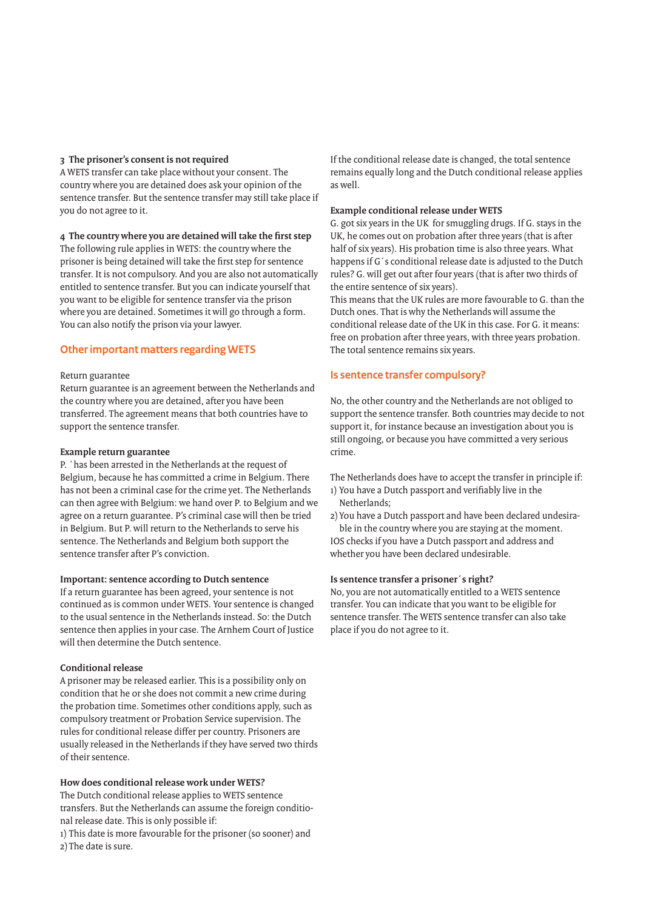## **3 The prisoner's consent is not required**

A WETS transfer can take place without your consent. The country where you are detained does ask your opinion of the sentence transfer. But the sentence transfer may still take place if you do not agree to it.

# **4 The country where you are detained will take the first step**

The following rule applies in WETS: the country where the prisoner is being detained will take the first step for sentence transfer. It is not compulsory. And you are also not automatically entitled to sentence transfer. But you can indicate yourself that you want to be eligible for sentence transfer via the prison where you are detained. Sometimes it will go through a form. You can also notify the prison via your lawyer.

# **Other important matters regarding WETS**

## Return guarantee

Return guarantee is an agreement between the Netherlands and the country where you are detained, after you have been transferred. The agreement means that both countries have to support the sentence transfer.

## **Example return guarantee**

P. `has been arrested in the Netherlands at the request of Belgium, because he has committed a crime in Belgium. There has not been a criminal case for the crime yet. The Netherlands can then agree with Belgium: we hand over P. to Belgium and we agree on a return guarantee. P's criminal case will then be tried in Belgium. But P. will return to the Netherlands to serve his sentence. The Netherlands and Belgium both support the sentence transfer after P's conviction.

## **Important: sentence according to Dutch sentence**

If a return guarantee has been agreed, your sentence is not continued as is common under WETS. Your sentence is changed to the usual sentence in the Netherlands instead. So: the Dutch sentence then applies in your case. The Arnhem Court of Justice will then determine the Dutch sentence.

# **Conditional release**

A prisoner may be released earlier. This is a possibility only on condition that he or she does not commit a new crime during the probation time. Sometimes other conditions apply, such as compulsory treatment or Probation Service supervision. The rules for conditional release differ per country. Prisoners are usually released in the Netherlands if they have served two thirds of their sentence.

**How does conditional release work under WETS?** The Dutch conditional release applies to WETS sentence

transfers. But the Netherlands can assume the foreign conditional release date. This is only possible if:

1) This date is more favourable for the prisoner (so sooner) and 2) The date is sure.

If the conditional release date is changed, the total sentence remains equally long and the Dutch conditional release applies as well.

# **Example conditional release under WETS**

G. got six years in the UK for smuggling drugs. If G. stays in the UK, he comes out on probation after three years (that is after half of six years). His probation time is also three years. What happens if G´s conditional release date is adjusted to the Dutch rules? G. will get out after four years (that is after two thirds of the entire sentence of six years).

This means that the UK rules are more favourable to G. than the Dutch ones. That is why the Netherlands will assume the conditional release date of the UK in this case. For G. it means: free on probation after three years, with three years probation. The total sentence remains six years.

# **Is sentence transfer compulsory?**

No, the other country and the Netherlands are not obliged to support the sentence transfer. Both countries may decide to not support it, for instance because an investigation about you is still ongoing, or because you have committed a very serious crime.

The Netherlands does have to accept the transfer in principle if: 1) You have a Dutch passport and verifiably live in the Netherlands;

2) You have a Dutch passport and have been declared undesirable in the country where you are staying at the moment. IOS checks if you have a Dutch passport and address and whether you have been declared undesirable.

## **Is sentence transfer a prisoner´s right?**

No, you are not automatically entitled to a WETS sentence transfer. You can indicate that you want to be eligible for sentence transfer. The WETS sentence transfer can also take place if you do not agree to it.